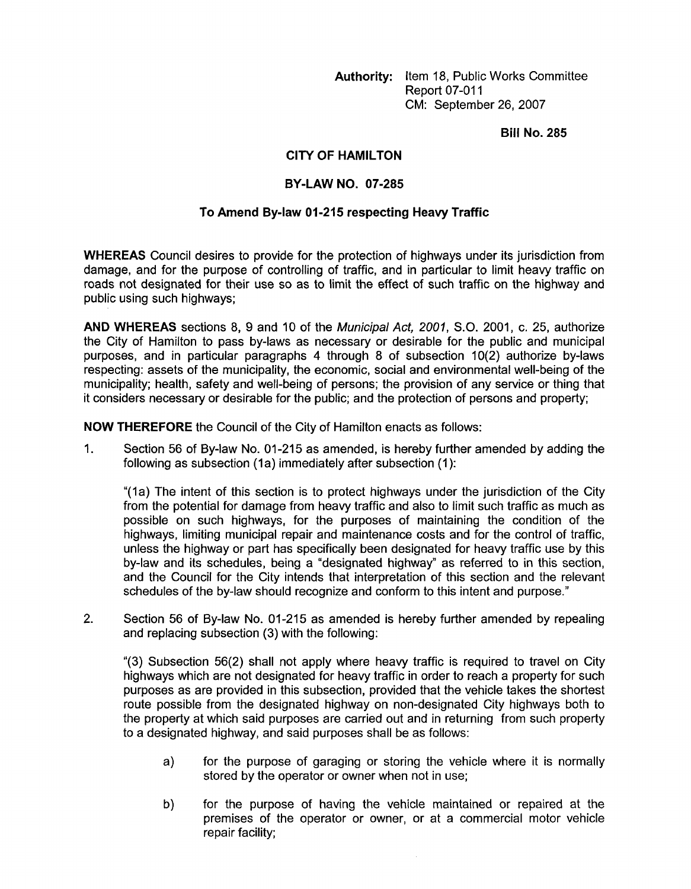**Authority:** Item 18, Public Works Committee **Report 07-011** CM: September 26,2007

**Bill No. 285** 

## **CITY OF HAMILTON**

## **BY-LAW NO. 07-285**

## **To Amend By-law 01-215 respecting Heavy Traffic**

**WHEREAS** Council desires to provide for the protection of highways under its jurisdiction from damage, and for the purpose of controlling of traffic, and in particular to limit heavy traffic on roads not designated for their use so as to limit the effect of such traffic on the highway and public using such highways;

**AND WHEREAS** sections 8, **9** and 10 of the *Municipal Act, 2001,* S.O. 2001, c. 25, authorize the City of Hamilton to pass by-laws as necessary or desirable for the public and municipal purposes, and in particular paragraphs **4** through 8 of subsection lO(2) authorize by-laws respecting: assets of the municipality, the economic, social and environmental well-being of the municipality; health, safety and well-being of persons; the provision of any service or thing that it considers necessary or desirable for the public; and the protection of persons and property;

**NOW THEREFORE** the Council of the City of Hamilton enacts as follows:

1. Section 56 of By-law **No.** 01-215 as amended, is hereby further amended by adding the following as subsection (1a) immediately after subsection (1):

"(la) The intent of this section is to protect highways under the jurisdiction of the City from the potential for damage from heavy traffic and also to limit such traffic as much as possible on such highways, for the purposes of maintaining the condition of the highways, limiting municipal repair and maintenance costs and for the control of traffic, unless the highway or part has specifically been designated for heavy traffic use by this by-law and its schedules, being a "designated highway" as referred to in this section, and the Council for the City intends that interpretation of this section and the relevant schedules of the by-law should recognize and conform to this intent and purpose."

2. Section 56 of By-law No. 01-215 as amended is hereby further amended by repealing and replacing subsection (3) with the following:

"(3) Subsection 56(2) shall not apply where heavy traffic is required to travel on City highways which are not designated for heavy traffic in order to reach a property for such purposes as are provided in this subsection, provided that the vehicle takes the shortest route possible from the designated highway on non-designated City highways both to the property at which said purposes are carried out and in returning from such property to a designated highway, and said purposes shall be as follows:

- a) for the purpose of garaging or storing the vehicle where it is normally stored by the operator or owner when not in use;
- b) for the purpose of having the vehicle maintained or repaired at the premises of the operator or owner, or at a commercial motor vehicle repair facility;